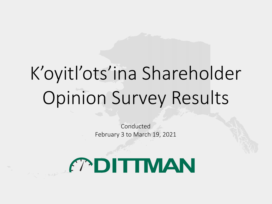# K'oyitl'ots'ina Shareholder Opinion Survey Results

Conducted February 3 to March 19, 2021

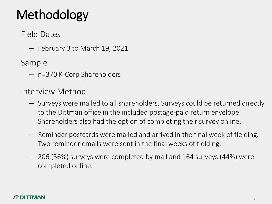# Methodology

### Field Dates

– February 3 to March 19, 2021

Sample

– n=370 K-Corp Shareholders

Interview Method

- Surveys were mailed to all shareholders. Surveys could be returned directly to the Dittman office in the included postage-paid return envelope. Shareholders also had the option of completing their survey online.
- Reminder postcards were mailed and arrived in the final week of fielding. Two reminder emails were sent in the final weeks of fielding.
- 206 (56%) surveys were completed by mail and 164 surveys (44%) were completed online.

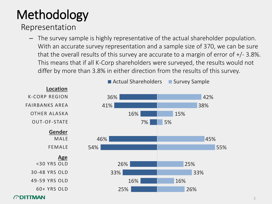# Methodology

### Representation

– The survey sample is highly representative of the actual shareholder population. With an accurate survey representation and a sample size of 370, we can be sure that the overall results of this survey are accurate to a margin of error of +/- 3.8%. This means that if all K-Corp shareholders were surveyed, the results would not differ by more than 3.8% in either direction from the results of this survey.

3

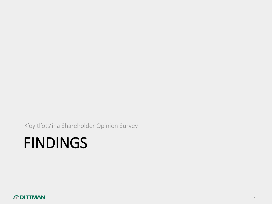K'oyitl'ots'ina Shareholder Opinion Survey

# FINDINGS

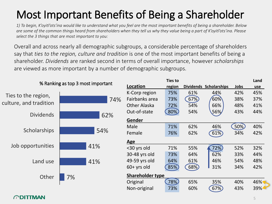## Most Important Benefits of Being a Shareholder

*1) To begin, K'oyitl'ots'ina would like to understand what you feel are the most important benefits of being a shareholder. Below are some of the common things heard from shareholders when they tell us why they value being a part of K'oyitl'ots'ina. Please select the 3 things that are most important to you:*

Overall and across nearly all demographic subgroups, a considerable percentage of shareholders say that *ties to the region, culture and tradition* is one of the most important benefits of being a shareholder. *Dividends* are ranked second in terms of overall importance, however *scholarships* are viewed as more important by a number of demographic subgroups.

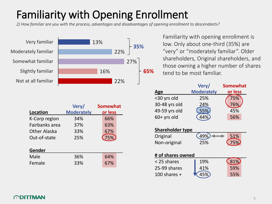## Familiarity with Opening Enrollment

*2) How familiar are you with the process, advantages and disadvantages of opening enrollment to descendants?*

Very familiar Moderately familiar Somewhat familiar Slightly familiar Not at all familiar



Familiarity with opening enrollment is low. Only about one-third (35%) are "very" or "moderately familiar". Older shareholders, Original shareholders, and those owning a higher number of shares **65%** tend to be most familiar.

| Location<br>K-Corp region<br>Fairbanks area<br>Other Alaska<br>Out-of-state | Very/<br><b>Moderately</b><br>34%<br>37%<br>33%<br>25% | <b>Somewhat</b><br>or less<br>66%<br>63%<br>67%<br>75% |
|-----------------------------------------------------------------------------|--------------------------------------------------------|--------------------------------------------------------|
| Gender                                                                      |                                                        |                                                        |
| Male                                                                        | 36%                                                    | 64%                                                    |
| Female                                                                      | 33%                                                    | 67%                                                    |

|               | Very/             | <b>Somewhat</b> |
|---------------|-------------------|-----------------|
| Age           | <b>Moderately</b> | or less         |
| <30 yrs old   | 25%               | 75%             |
| 30-48 yrs old | 24%               |                 |
| 49-59 yrs old | 55%               | 45%             |
| 60+ yrs old   |                   | 56%             |
|               |                   |                 |

| <b>Shareholder type</b> |  |  |  |
|-------------------------|--|--|--|
|                         |  |  |  |

| Original     | (49%) | 51%   |  |
|--------------|-------|-------|--|
| Non-original | 25%   | (75%) |  |

| # of shares owned |     |       |  |  |  |
|-------------------|-----|-------|--|--|--|
| < 25 shares       | 19% | (81%) |  |  |  |
| 25-99 shares      | 41% | 59%   |  |  |  |
| 100 shares $+$    |     | 55%   |  |  |  |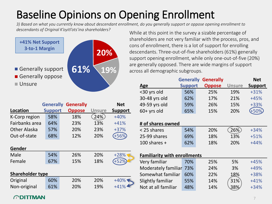## Baseline Opinions on Opening Enrollment

*3) Based on what you currently know about descendant enrollment, do you generally support or oppose opening enrollment to descendants of Original K'oyitl'ots'ina shareholders?* While at this point in the survey a sizable percentage of



shareholders are not very familiar with the process, pros, and cons of enrollment, there is a lot of support for enrolling descendants. Three-out-of-five shareholders (61%) generally support opening enrollment, while only one-out-of-five (20%) are generally opposed. There are wide margins of support across all demographic subgroups.

|                  | <b>Generally</b> | <b>Generally</b> |               | <b>Net</b>     |  |  |
|------------------|------------------|------------------|---------------|----------------|--|--|
| <b>Location</b>  | <b>Support</b>   | <b>Oppose</b>    | <b>Unsure</b> | <b>Support</b> |  |  |
| K-Corp region    | 58%              | 18%              | 24%           | $+40%$         |  |  |
| Fairbanks area   | 64%              | 23%              | 13%           | $+41%$         |  |  |
| Other Alaska     | 57%              | 20%              | 23%           | $+37%$         |  |  |
| Out-of-state     | 68%              | 12%              | 20%           |                |  |  |
|                  |                  |                  |               |                |  |  |
| Gender           |                  |                  |               |                |  |  |
| Male             | 54%              | 26%              | 20%           | $+28%$         |  |  |
| Female           | 67%              | 15%              | 18%           |                |  |  |
|                  |                  |                  |               |                |  |  |
| Shareholder type |                  |                  |               |                |  |  |
| Original         | 60%              | 20%              | 20%           | $+40\%$        |  |  |
| Non-original     | 61%              | 20%              | 19%           | $+41%$         |  |  |
|                  |                  |                  |               |                |  |  |

|                                     | Generally      | Generally     |               | ivet           |
|-------------------------------------|----------------|---------------|---------------|----------------|
| Age                                 | <b>Support</b> | <b>Oppose</b> | <b>Unsure</b> | <b>Support</b> |
| <30 yrs old                         | 56%            | 25%           | 19%           | $+31%$         |
| 30-48 yrs old                       | 62%            | 17%           | 21%           | $+45%$         |
| 49-59 yrs old                       | 59%            | 26%           | 15%           | +33%           |
| 60+ yrs old                         | 65%            | 15%           | 20%           | $+50%$         |
|                                     |                |               |               |                |
| # of shares owned                   |                |               |               |                |
| < 25 shares                         | 54%            | 20%           | 26%           | $+34%$         |
| 25-99 shares                        | 69%            | 18%           | 13%           | $+51%$         |
| 100 shares $+$                      | 62%            | 18%           | 20%           | $+44%$         |
|                                     |                |               |               |                |
| <b>Familiarity with enrollments</b> |                |               |               |                |
| Very familiar                       | 70%            | 25%           | 5%            | $+45%$         |
| Moderately familiar                 | 73%            | 24%           | 3%            | +49%           |
| Somewhat familiar                   | 60%            | 22%           | 18%           | +38%           |
| Slightly familiar                   | 55%            | 14%           | 31%           | $+41%$         |
| Not at all familiar                 | 48%            | 14%           | 38%           | $+34%$         |

**Generally Generally Net**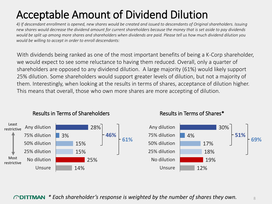## Acceptable Amount of Dividend Dilution

*4) If descendant enrollment is opened, new shares would be created and issued to descendants of Original shareholders. Issuing new shares would decrease the dividend amount for current shareholders because the money that is set aside to pay dividends would be split up among more shares and shareholders when dividends are paid. Please tell us how much dividend dilution you would be willing to accept in order to enroll descendants:*

With dividends being ranked as one of the most important benefits of being a K-Corp shareholder, we would expect to see some reluctance to having them reduced. Overall, only a quarter of shareholders are opposed to any dividend dilution. A large majority (61%) would likely support 25% dilution. Some shareholders would support greater levels of dilution, but not a majority of them. Interestingly, when looking at the results in terms of shares, acceptance of dilution higher. This means that overall, those who own more shares are more accepting of dilution.



### Results in Terms of Shareholders Results in Terms of Shares\*

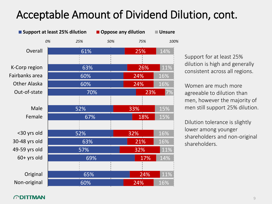### Acceptable Amount of Dividend Dilution, cont.

|                     | <b>Support at least 25% dilution</b> |     | <b>Oppose any dilution</b> |     | <b>Unsure</b> |
|---------------------|--------------------------------------|-----|----------------------------|-----|---------------|
|                     | 0%                                   | 25% | 50%                        | 75% | 100%          |
| Overall             |                                      | 61% |                            | 25% | 14%           |
|                     |                                      |     |                            |     |               |
| K-Corp region       |                                      | 63% |                            | 26% | 11%           |
| Fairbanks area      |                                      | 60% |                            | 24% | 16%           |
| <b>Other Alaska</b> |                                      | 60% |                            | 24% | 16%           |
| Out-of-state        |                                      | 70% |                            | 23% | 7%            |
|                     |                                      |     |                            |     |               |
| Male                |                                      | 52% |                            | 33% | 15%           |
| Female              |                                      | 67% |                            | 18% | 15%           |
|                     |                                      |     |                            |     |               |
| <30 yrs old         |                                      | 52% |                            | 32% | 16%           |
| 30-48 yrs old       |                                      | 63% |                            | 21% | 16%           |
| 49-59 yrs old       |                                      | 57% |                            | 32% | 11%           |
| $60+$ yrs old       |                                      | 69% |                            | 17% | 14%           |
|                     |                                      |     |                            |     |               |
| Original            |                                      | 65% |                            | 24% | 11%           |
| Non-original        |                                      | 60% |                            | 24% | 16%           |

Support for at least 25% dilution is high and generally consistent across all regions.

Women are much more agreeable to dilution than men, however the majority of men still support 25% dilution.

Dilution tolerance is slightly lower among younger shareholders and non-original shareholders.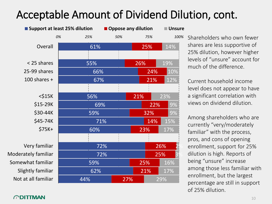### Acceptable Amount of Dividend Dilution, cont.

|                     | ■ Support at least 25% dilution | Oppose any dilution |     | <b>Unsure</b> |
|---------------------|---------------------------------|---------------------|-----|---------------|
|                     | 0%<br>25%                       | 50%                 | 75% | 100%          |
| Overall             | 61%                             |                     | 25% | 14%           |
|                     |                                 |                     |     |               |
| < 25 shares         | 55%                             |                     | 26% | 19%           |
| 25-99 shares        | 66%                             |                     | 24% | 10%           |
| 100 shares $+$      | 67%                             |                     | 21% | 12%           |
|                     |                                 |                     |     |               |
| $<$ \$15 $K$        | 56%                             |                     | 21% | 23%           |
| \$15-29K            |                                 | 69%                 | 22% | 9%            |
| \$30-44K            | 59%                             |                     | 32% | 9%            |
| \$45-74K            |                                 | 71%                 | 14% | 15%           |
| $$75K+$             | 60%                             |                     | 23% | 17%           |
|                     |                                 |                     |     |               |
| Very familiar       |                                 | 72%                 |     | 26%           |
| Moderately familiar |                                 | 72%                 |     | 25%           |
| Somewhat familiar   | 59%                             |                     | 25% | 16%           |
| Slightly familiar   | 62%                             |                     | 21% | 17%           |
| Not at all familiar | 44%                             | 27%                 |     | 29%           |

Shareholders who own fewer shares are less supportive of 25% dilution, however higher levels of "unsure" account for much of the difference.

Current household income level does not appear to have a significant correlation with views on dividend dilution.

Among shareholders who are currently "very/moderately familiar" with the process, pros, and cons of opening enrollment, support for 25% dilution is high. Reports of being "unsure" increase among those less familiar with enrollment, but the largest percentage are still in support of 25% dilution.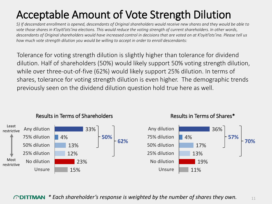## Acceptable Amount of Vote Strength Dilution

*5) If descendant enrollment is opened, descendants of Original shareholders would receive new shares and they would be able to vote those shares in K'oyitl'ots'ina elections. This would reduce the voting strength of current shareholders. In other words, descendants of Original shareholders would have increased control in decisions that are voted on at K'oyitl'ots'ina. Please tell us how much vote strength dilution you would be willing to accept in order to enroll descendants:*

Tolerance for voting strength dilution is slightly higher than tolerance for dividend dilution. Half of shareholders (50%) would likely support 50% voting strength dilution, while over three-out-of-five (62%) would likely support 25% dilution. In terms of shares, tolerance for voting strength dilution is even higher. The demographic trends previously seen on the dividend dilution question hold true here as well.



### Results in Terms of Shareholders Results in Terms of Shares\*

*\* Each shareholder's response is weighted by the number of shares they own.*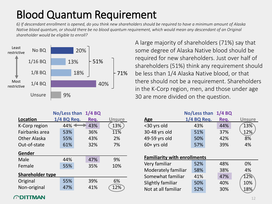### Blood Quantum Requirement

*6) If descendant enrollment is opened, do you think new shareholders should be required to have a minimum amount of Alaska Native blood quantum, or should there be no blood quantum requirement, which would mean any descendant of an Original shareholder would be eligible to enroll?* 



A large majority of shareholders (71%) say that some degree of Alaska Native blood should be required for new shareholders. Just over half of shareholders (51%) think any requirement should be less than 1/4 Alaska Native blood, or that there should not be a requirement. Shareholders in the K-Corp region, men, and those under age 30 are more divided on the question.

| No/Less than<br>$1/4$ BQ |             |      |               |  |  |  |
|--------------------------|-------------|------|---------------|--|--|--|
| Location                 | 1/4 BQ Req. | Req. | <b>Unsure</b> |  |  |  |
| K-Corp region            | 44%         | 43%  | 13%           |  |  |  |
| Fairbanks area           | 53%         | 36%  | 11%           |  |  |  |
| <b>Other Alaska</b>      | 55%         | 43%  | 2%            |  |  |  |
| Out-of-state             | 61%         | 32%  | 7%            |  |  |  |
| Gender                   |             |      |               |  |  |  |
| Male                     | 44%         | 47%  | 9%            |  |  |  |
| Female                   | 55%         | 35%  | 10%           |  |  |  |
| <b>Shareholder type</b>  |             |      |               |  |  |  |
| Original                 | 55%         | 39%  | 6%            |  |  |  |
| Non-original             | 47%         | 41%  | 12%           |  |  |  |
|                          |             |      |               |  |  |  |

|                                     | No/Less than | 1/4 BQ |               |
|-------------------------------------|--------------|--------|---------------|
| <b>Age</b>                          | 1/4 BQ Req.  | Req.   | <b>Unsure</b> |
| <30 yrs old                         | 43%          | 44%    | 13%           |
| 30-48 yrs old                       | 51%          | 37%    | 12%           |
| 49-59 yrs old                       | 50%          | 42%    | 8%            |
| $60+$ yrs old                       | 57%          | 39%    | 4%            |
|                                     |              |        |               |
| <b>Familiarity with enrollments</b> |              |        |               |
| Very familiar                       | 52%          | 48%    | 0%            |
| Moderately familiar                 | 58%          | 38%    | 4%            |
| Somewhat familiar                   | 41%          | 47%    | 12%           |
| Slightly familiar                   | 50%          | 40%    | 10%           |
| Not at all familiar                 | 52%          | 30%    | 18%           |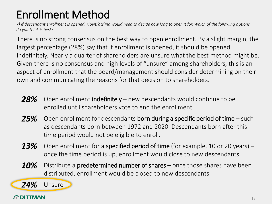## Enrollment Method

*7) If descendant enrollment is opened, K'oyitl'ots'ina would need to decide how long to open it for. Which of the following options do you think is best?*

There is no strong consensus on the best way to open enrollment. By a slight margin, the largest percentage (28%) say that if enrollment is opened, it should be opened indefinitely. Nearly a quarter of shareholders are unsure what the best method might be. Given there is no consensus and high levels of "unsure" among shareholders, this is an aspect of enrollment that the board/management should consider determining on their own and communicating the reasons for that decision to shareholders.

- *28%* Open enrollment indefinitely new descendants would continue to be enrolled until shareholders vote to end the enrollment.
- Open enrollment for descendants born during a specific period of time such as descendants born between 1972 and 2020. Descendants born after this time period would not be eligible to enroll. *25%*
- Open enrollment for a **specified period of time** (for example, 10 or 20 years) once the time period is up, enrollment would close to new descendants. *13%*
- Distribute a predetermined number of shares once those shares have been distributed, enrollment would be closed to new descendants. *10%*



*24%*

Unsure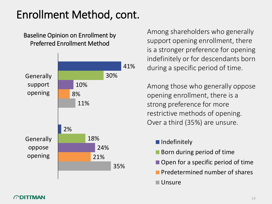### Enrollment Method, cont.

### Baseline Opinion on Enrollment by Preferred Enrollment Method



Among shareholders who generally support opening enrollment, there is a stronger preference for opening indefinitely or for descendants born during a specific period of time.

Among those who generally oppose opening enrollment, there is a strong preference for more restrictive methods of opening. Over a third (35%) are unsure.

- **Indefinitely**
- **Born during period of time**
- Open for a specific period of time
- **Predetermined number of shares**
- Unsure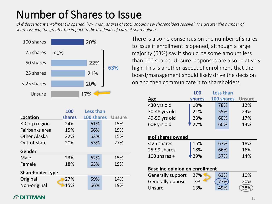### Number of Shares to Issue

*8) If descendant enrollment is opened, how many shares of stock should new shareholders receive? The greater the number of shares issued, the greater the impact to the dividends of current shareholders.*



|                         | 100    | <b>Less than</b> |               |  |  |  |  |
|-------------------------|--------|------------------|---------------|--|--|--|--|
| <b>Location</b>         | shares | 100 shares       | <b>Unsure</b> |  |  |  |  |
| K-Corp region           | 24%    | 61%              | 15%           |  |  |  |  |
| Fairbanks area          | 15%    | 66%              | 19%           |  |  |  |  |
| Other Alaska            | 22%    | 63%              | 15%           |  |  |  |  |
| Out-of-state            | 20%    | 53%              | 27%           |  |  |  |  |
| Gender                  |        |                  |               |  |  |  |  |
| Male                    | 23%    | 62%              | 15%           |  |  |  |  |
| Female                  | 18%    | 63%              | 19%           |  |  |  |  |
| <b>Shareholder type</b> |        |                  |               |  |  |  |  |
| Original                | 27%    | 59%              | 14%           |  |  |  |  |
| Non-original            | 15%    | 66%              | 19%           |  |  |  |  |

There is also no consensus on the number of shares to issue if enrollment is opened, although a large majority (63%) say it should be some amount less than 100 shares. Unsure responses are also relatively high. This is another aspect of enrollment that the board/management should likely drive the decision on and then communicate it to shareholders.

|                                       | 100    | <b>Less than</b> |               |  |  |
|---------------------------------------|--------|------------------|---------------|--|--|
| Age                                   | shares | 100 shares       | <b>Unsure</b> |  |  |
| <30 yrs old                           | 10%    | 78%              | 12%           |  |  |
| 30-48 yrs old                         | 21%    | 55%              | 24%           |  |  |
| 49-59 yrs old                         | 23%    | 60%              | 17%           |  |  |
| $60+$ yrs old                         | 27%    | 60%              | 13%           |  |  |
|                                       |        |                  |               |  |  |
| # of shares owned                     |        |                  |               |  |  |
| < 25 shares                           | 15%    | 67%              | 18%           |  |  |
| 25-99 shares                          | 18%    | 66%              | 16%           |  |  |
| 100 shares $+$                        | 29%    | 57%              | 14%           |  |  |
|                                       |        |                  |               |  |  |
| <b>Baseline opinion on enrollment</b> |        |                  |               |  |  |
| <b>Generally support</b>              | 27%    | 63%              | 10%           |  |  |
| Generally oppose                      | 3%     | 77%              | 20%           |  |  |
| Unsure                                | 13%    | 49%              | 38%           |  |  |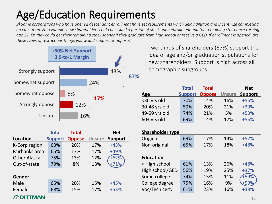## Age/Education Requirements

*9) Some corporations who have opened descendant enrollment have set requirements which delay dilution and incentivize completing an education. For example, new shareholders could be issued a portion of stock upon enrollment and the remaining stock once turning age 21. Or they could get their remaining stock sooner if they graduate from high school or receive a GED. If enrollment is opened, are these types of restrictions things you would support or oppose?*



|                | <b>Total</b>   | <b>Total</b>  |               | <b>Net</b>     |
|----------------|----------------|---------------|---------------|----------------|
| Location       | <b>Support</b> | <b>Oppose</b> | <b>Unsure</b> | <b>Support</b> |
| K-Corp region  | 63%            | 20%           | 17%           | $+43%$         |
| Fairbanks area | 66%            | 17%           | 17%           | +49%           |
| Other Alaska   | 75%            | 13%           | 12%           |                |
| Out-of-state   | 79%            | 8%            | 13%           |                |
|                |                |               |               |                |
| Gender         |                |               |               |                |
| Male           | 65%            | 20%           | 15%           | $+45%$         |

Female 68% 15% 17% +53%

Two-thirds of shareholders (67%) support the idea of age and/or graduation stipulations for new shareholders. Support is high across all demographic subgroups.

|               | <b>Total</b>   | <b>Total</b>  |               | <b>Net</b>     |
|---------------|----------------|---------------|---------------|----------------|
| Age           | <b>Support</b> | <b>Oppose</b> | <b>Unsure</b> | <b>Support</b> |
| <30 yrs old   | 70%            | 14%           | 16%           | +56%           |
| 30-48 yrs old | 59%            | 20%           | 21%           | $+39%$         |
| 49-59 yrs old | 74%            | 21%           | 5%            | $+53%$         |
| $60+$ yrs old | 69%            | 14%           | 17%           | $+55%$         |

| <b>Shareholder type</b> |     |     |     |        |  |
|-------------------------|-----|-----|-----|--------|--|
| Original                | 69% | 17% | 14% | $+52%$ |  |
| Non-original            | 65% | 17% | 18% | $+48%$ |  |
|                         |     |     |     |        |  |
| <b>Education</b>        |     |     |     |        |  |
| < High school           | 61% | 13% | 26% | $+48%$ |  |
| High school/GED         | 56% | 19% | 25% | $+37%$ |  |
| Some college            | 74% | 15% | 11% | +59%   |  |
| College degree +        | 75% | 16% | 9%  |        |  |
| Voc/Tech cert.          | 61% | 23% | 16% | +38%   |  |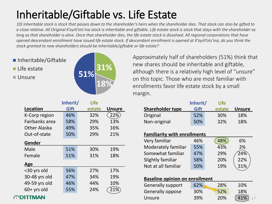## Inheritable/Giftable vs. Life Estate

10) Inheritable stock is stock that passes down to the shareholder's heirs when the shareholder dies. That stock can also be gifted to a close relative. All Original K'oyitl'ots'ina stock is inheritable and giftable. Life estate stock is stock that stays with the shareholder as *long as that shareholder is alive. Once that shareholder dies, the life estate stock is dissolved. All regional corporations that have opened descendant enrollment have issued life estate stock. If descendant enrollment is opened at K'oyitl'ots'ina, do you think the stock granted to new shareholders should be inheritable/giftable or life estate?*

■ Inheritable/Giftable

 $\blacksquare$  Life estate

Unsure



Approximately half of shareholders (51%) think that new shares should be inheritable and giftable, although there is a relatively high level of "unsure" on this topic. Those who are most familiar with enrollments favor life estate stock by a small margin.

| <b>Shareholder type</b> | Inherit/<br>Gift | <b>Life</b><br>estate | <b>Unsure</b> |
|-------------------------|------------------|-----------------------|---------------|
| Original                | 52%              | 30%                   | 18%           |
| Non-original            | 50%              | 32%                   | 18%           |

### **Familiarity with enrollments**

| Very familiar       | 46% | 48% | 6%  |
|---------------------|-----|-----|-----|
| Moderately familiar | 55% | 43% | 2%  |
| Somewhat familiar   | 47% | 29% | 24% |
| Slightly familiar   | 58% | 20% | 22% |
| Not at all familiar | 50% | 19% | 31% |

### **Baseline opinion on enrollment**

| <b>Generally support</b> | 62% | 28% | 10% |
|--------------------------|-----|-----|-----|
| Generally oppose         | 30% | 52% | 18% |
| Unsure                   | 39% | 20% | 41% |

|                | Inherit/ | <b>Life</b> |               |
|----------------|----------|-------------|---------------|
| Location       | Gift     | estate      | <b>Unsure</b> |
| K-Corp region  | 46%      | 32%         | 22%           |
| Fairbanks area | 58%      | 29%         | 13%           |
| Other Alaska   | 49%      | 35%         | 16%           |
| Out-of-state   | 50%      | 29%         | 21%           |
| Gender         |          |             |               |
| Male           | 51%      | 30%         | 19%           |
| Female         | 51%      | 31%         | 18%           |
| Age            |          |             |               |
| <30 yrs old    | 56%      | 27%         | 17%           |
| 30-48 yrs old  | 47%      | 34%         | 19%           |
| 49-59 yrs old  | 46%      | 44%         | 10%           |
| $60+$ yrs old  | 55%      | 24%         | 21%           |

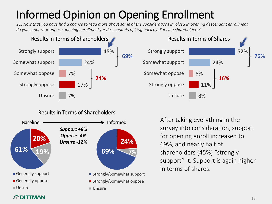## Informed Opinion on Opening Enrollment

*11) Now that you have had a chance to read more about some of the considerations involved in opening descendant enrollment, do you support or oppose opening enrollment for descendants of Original K'oyitl'ots'ina shareholders?*



### Results in Terms of Shareholders





After taking everything in the survey into consideration, support for opening enroll increased to 69%, and nearly half of shareholders (45%) "strongly support" it. Support is again higher in terms of shares.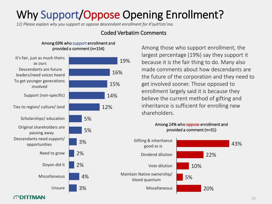## Why Support/Oppose Opening Enrollment?

*12) Please explain why you support or oppose descendant enrollment for K'oyitl'ots'ina.*

### Coded Verbatim Comments

### Among 69% who support enrollment and provided a comment (n=154)



Among those who support enrollment, the largest percentage (19%) say they support it because it is the fair thing to do. Many also made comments about how descendants are the future of the corporation and they need to get involved sooner. Those opposed to enrollment largely said it is because they believe the current method of gifting and inheritance is sufficient for enrolling new shareholders.

### Among 24% who oppose enrollment and provided a comment (n=31)

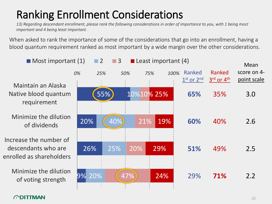## Ranking Enrollment Considerations

*13) Regarding descendant enrollment, please rank the following considerations in order of importance to you, with 1 being most important and 4 being least important.*

When asked to rank the importance of some of the considerations that go into an enrollment, having a blood quantum requirement ranked as most important by a wide margin over the other considerations.

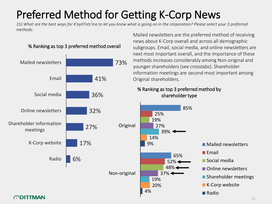## Preferred Method for Getting K-Corp News

*15) What are the best ways for K'oyitl'ots'ina to let you know what is going on in the corporation? Please select your 3 preferred methods:*



% Ranking as top 3 preferred method overall

Mailed newsletters are the preferred method of receiving news about K-Corp overall and across all demographic subgroups. Email, social media, and online newsletters are next most important overall, and the importance of these methods increases considerably among Non-original and younger shareholders (see crosstabs). Shareholder information meetings are second most important among Original shareholders.

### % Ranking as top 3 preferred method by shareholder type

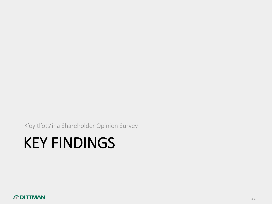K'oyitl'ots'ina Shareholder Opinion Survey

# KEY FINDINGS

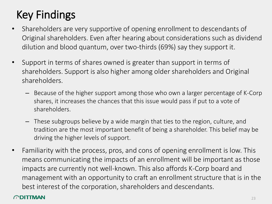## Key Findings

- Shareholders are very supportive of opening enrollment to descendants of Original shareholders. Even after hearing about considerations such as dividend dilution and blood quantum, over two-thirds (69%) say they support it.
- Support in terms of shares owned is greater than support in terms of shareholders. Support is also higher among older shareholders and Original shareholders.
	- Because of the higher support among those who own a larger percentage of K-Corp shares, it increases the chances that this issue would pass if put to a vote of shareholders.
	- These subgroups believe by a wide margin that ties to the region, culture, and tradition are the most important benefit of being a shareholder. This belief may be driving the higher levels of support.
- Familiarity with the process, pros, and cons of opening enrollment is low. This means communicating the impacts of an enrollment will be important as those impacts are currently not well-known. This also affords K-Corp board and management with an opportunity to craft an enrollment structure that is in the best interest of the corporation, shareholders and descendants.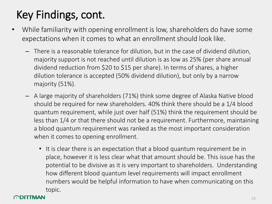## Key Findings, cont.

- While familiarity with opening enrollment is low, shareholders do have some expectations when it comes to what an enrollment should look like.
	- There is a reasonable tolerance for dilution, but in the case of dividend dilution, majority support is not reached until dilution is as low as 25% (per share annual dividend reduction from \$20 to \$15 per share). In terms of shares, a higher dilution tolerance is accepted (50% dividend dilution), but only by a narrow majority (51%).
	- A large majority of shareholders (71%) think some degree of Alaska Native blood should be required for new shareholders. 40% think there should be a 1/4 blood quantum requirement, while just over half (51%) think the requirement should be less than 1/4 or that there should not be a requirement. Furthermore, maintaining a blood quantum requirement was ranked as the most important consideration when it comes to opening enrollment.
		- It is clear there is an expectation that a blood quantum requirement be in place, however it is less clear what that amount should be. This issue has the potential to be divisive as it is very important to shareholders. Understanding how different blood quantum level requirements will impact enrollment numbers would be helpful information to have when communicating on this topic.